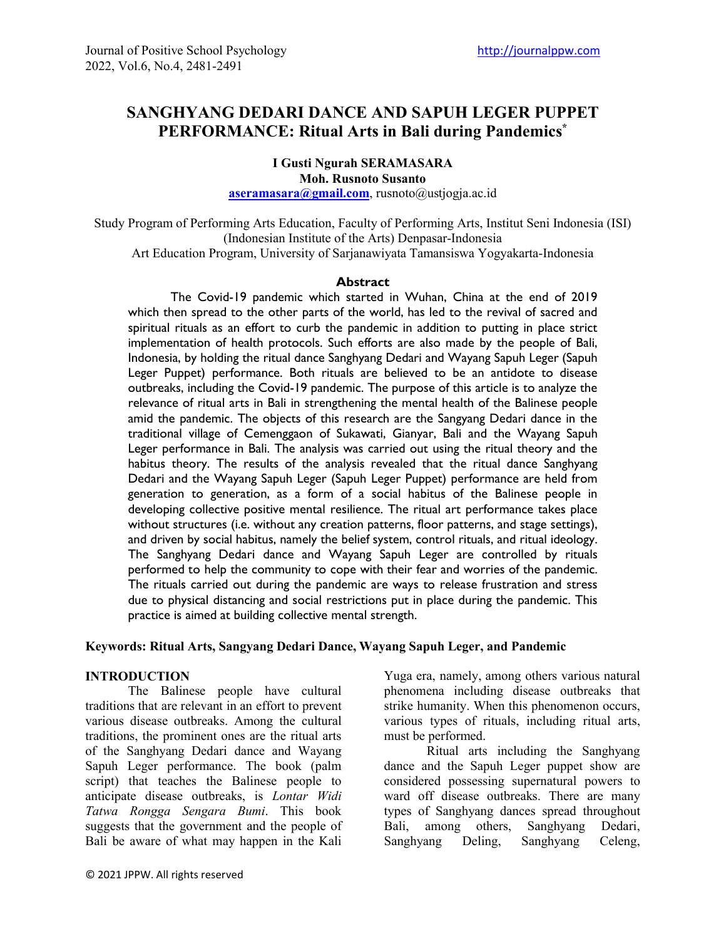# **SANGHYANG DEDARI DANCE AND SAPUH LEGER PUPPET PERFORMANCE: Ritual Arts in Bali during Pandemics\***

**I Gusti Ngurah SERAMASARA Moh. Rusnoto Susanto [aseramasara@gmail.com](mailto:aseramasara@gmail.com)**, rusnoto@ustjogja.ac.id

Study Program of Performing Arts Education, Faculty of Performing Arts, Institut Seni Indonesia (ISI) (Indonesian Institute of the Arts) Denpasar-Indonesia Art Education Program, University of Sarjanawiyata Tamansiswa Yogyakarta-Indonesia

#### **Abstract**

The Covid-19 pandemic which started in Wuhan, China at the end of 2019 which then spread to the other parts of the world, has led to the revival of sacred and spiritual rituals as an effort to curb the pandemic in addition to putting in place strict implementation of health protocols. Such efforts are also made by the people of Bali, Indonesia, by holding the ritual dance Sanghyang Dedari and Wayang Sapuh Leger (Sapuh Leger Puppet) performance. Both rituals are believed to be an antidote to disease outbreaks, including the Covid-19 pandemic. The purpose of this article is to analyze the relevance of ritual arts in Bali in strengthening the mental health of the Balinese people amid the pandemic. The objects of this research are the Sangyang Dedari dance in the traditional village of Cemenggaon of Sukawati, Gianyar, Bali and the Wayang Sapuh Leger performance in Bali. The analysis was carried out using the ritual theory and the habitus theory. The results of the analysis revealed that the ritual dance Sanghyang Dedari and the Wayang Sapuh Leger (Sapuh Leger Puppet) performance are held from generation to generation, as a form of a social habitus of the Balinese people in developing collective positive mental resilience. The ritual art performance takes place without structures (i.e. without any creation patterns, floor patterns, and stage settings), and driven by social habitus, namely the belief system, control rituals, and ritual ideology. The Sanghyang Dedari dance and Wayang Sapuh Leger are controlled by rituals performed to help the community to cope with their fear and worries of the pandemic. The rituals carried out during the pandemic are ways to release frustration and stress due to physical distancing and social restrictions put in place during the pandemic. This practice is aimed at building collective mental strength.

### **Keywords: Ritual Arts, Sangyang Dedari Dance, Wayang Sapuh Leger, and Pandemic**

### **INTRODUCTION**

The Balinese people have cultural traditions that are relevant in an effort to prevent various disease outbreaks. Among the cultural traditions, the prominent ones are the ritual arts of the Sanghyang Dedari dance and Wayang Sapuh Leger performance. The book (palm script) that teaches the Balinese people to anticipate disease outbreaks, is *Lontar Widi Tatwa Rongga Sengara Bumi*. This book suggests that the government and the people of Bali be aware of what may happen in the Kali Yuga era, namely, among others various natural phenomena including disease outbreaks that strike humanity. When this phenomenon occurs, various types of rituals, including ritual arts, must be performed.

Ritual arts including the Sanghyang dance and the Sapuh Leger puppet show are considered possessing supernatural powers to ward off disease outbreaks. There are many types of Sanghyang dances spread throughout Bali, among others, Sanghyang Dedari, Sanghyang Deling, Sanghyang Celeng,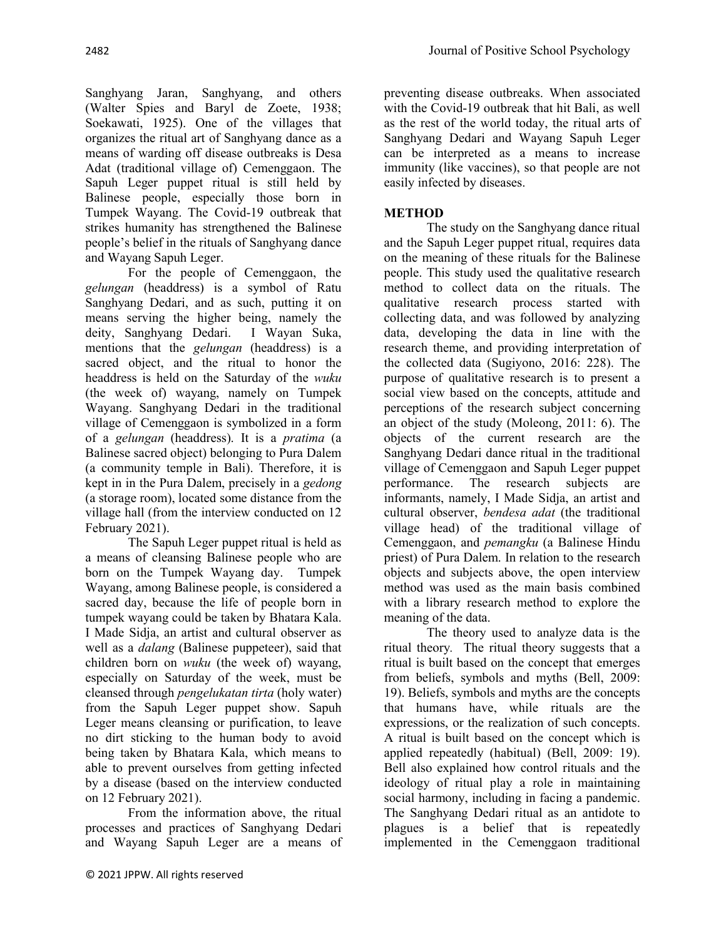Sanghyang Jaran, Sanghyang, and others (Walter Spies and Baryl de Zoete, 1938; Soekawati, 1925). One of the villages that organizes the ritual art of Sanghyang dance as a means of warding off disease outbreaks is Desa Adat (traditional village of) Cemenggaon. The Sapuh Leger puppet ritual is still held by Balinese people, especially those born in Tumpek Wayang. The Covid-19 outbreak that strikes humanity has strengthened the Balinese people's belief in the rituals of Sanghyang dance and Wayang Sapuh Leger.

For the people of Cemenggaon, the *gelungan* (headdress) is a symbol of Ratu Sanghyang Dedari, and as such, putting it on means serving the higher being, namely the deity, Sanghyang Dedari. I Wayan Suka, mentions that the *gelungan* (headdress) is a sacred object, and the ritual to honor the headdress is held on the Saturday of the *wuku* (the week of) wayang, namely on Tumpek Wayang. Sanghyang Dedari in the traditional village of Cemenggaon is symbolized in a form of a *gelungan* (headdress). It is a *pratima* (a Balinese sacred object) belonging to Pura Dalem (a community temple in Bali). Therefore, it is kept in in the Pura Dalem, precisely in a *gedong* (a storage room), located some distance from the village hall (from the interview conducted on 12 February 2021).

The Sapuh Leger puppet ritual is held as a means of cleansing Balinese people who are born on the Tumpek Wayang day. Tumpek Wayang, among Balinese people, is considered a sacred day, because the life of people born in tumpek wayang could be taken by Bhatara Kala. I Made Sidja, an artist and cultural observer as well as a *dalang* (Balinese puppeteer), said that children born on *wuku* (the week of) wayang, especially on Saturday of the week, must be cleansed through *pengelukatan tirta* (holy water) from the Sapuh Leger puppet show. Sapuh Leger means cleansing or purification, to leave no dirt sticking to the human body to avoid being taken by Bhatara Kala, which means to able to prevent ourselves from getting infected by a disease (based on the interview conducted on 12 February 2021).

From the information above, the ritual processes and practices of Sanghyang Dedari and Wayang Sapuh Leger are a means of preventing disease outbreaks. When associated with the Covid-19 outbreak that hit Bali, as well as the rest of the world today, the ritual arts of Sanghyang Dedari and Wayang Sapuh Leger can be interpreted as a means to increase immunity (like vaccines), so that people are not easily infected by diseases.

# **METHOD**

The study on the Sanghyang dance ritual and the Sapuh Leger puppet ritual, requires data on the meaning of these rituals for the Balinese people. This study used the qualitative research method to collect data on the rituals. The qualitative research process started with collecting data, and was followed by analyzing data, developing the data in line with the research theme, and providing interpretation of the collected data (Sugiyono, 2016: 228). The purpose of qualitative research is to present a social view based on the concepts, attitude and perceptions of the research subject concerning an object of the study (Moleong, 2011: 6). The objects of the current research are the Sanghyang Dedari dance ritual in the traditional village of Cemenggaon and Sapuh Leger puppet performance. The research subjects are informants, namely, I Made Sidja, an artist and cultural observer, *bendesa adat* (the traditional village head) of the traditional village of Cemenggaon, and *pemangku* (a Balinese Hindu priest) of Pura Dalem. In relation to the research objects and subjects above, the open interview method was used as the main basis combined with a library research method to explore the meaning of the data.

The theory used to analyze data is the ritual theory*.* The ritual theory suggests that a ritual is built based on the concept that emerges from beliefs, symbols and myths (Bell, 2009: 19). Beliefs, symbols and myths are the concepts that humans have, while rituals are the expressions, or the realization of such concepts. A ritual is built based on the concept which is applied repeatedly (habitual) (Bell, 2009: 19). Bell also explained how control rituals and the ideology of ritual play a role in maintaining social harmony, including in facing a pandemic. The Sanghyang Dedari ritual as an antidote to plagues is a belief that is repeatedly implemented in the Cemenggaon traditional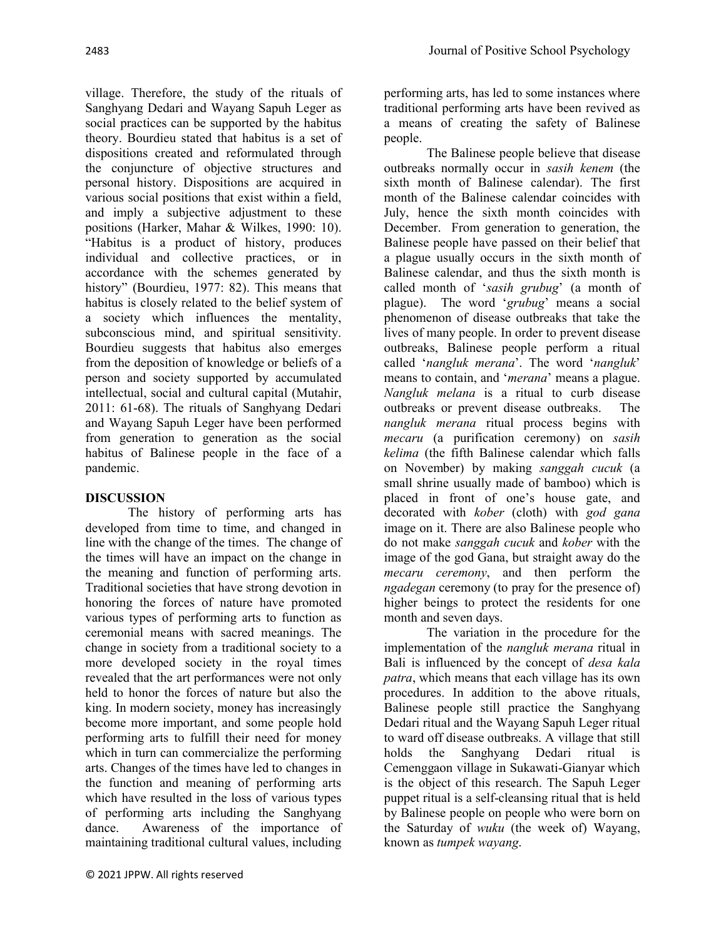village. Therefore, the study of the rituals of Sanghyang Dedari and Wayang Sapuh Leger as social practices can be supported by the habitus theory. Bourdieu stated that habitus is a set of dispositions created and reformulated through the conjuncture of objective structures and personal history. Dispositions are acquired in various social positions that exist within a field, and imply a subjective adjustment to these positions (Harker, Mahar & Wilkes, 1990: 10). "Habitus is a product of history, produces individual and collective practices, or in accordance with the schemes generated by history" (Bourdieu, 1977: 82). This means that habitus is closely related to the belief system of a society which influences the mentality, subconscious mind, and spiritual sensitivity. Bourdieu suggests that habitus also emerges from the deposition of knowledge or beliefs of a person and society supported by accumulated intellectual, social and cultural capital (Mutahir, 2011: 61-68). The rituals of Sanghyang Dedari and Wayang Sapuh Leger have been performed from generation to generation as the social habitus of Balinese people in the face of a pandemic.

## **DISCUSSION**

The history of performing arts has developed from time to time, and changed in line with the change of the times. The change of the times will have an impact on the change in the meaning and function of performing arts. Traditional societies that have strong devotion in honoring the forces of nature have promoted various types of performing arts to function as ceremonial means with sacred meanings. The change in society from a traditional society to a more developed society in the royal times revealed that the art performances were not only held to honor the forces of nature but also the king. In modern society, money has increasingly become more important, and some people hold performing arts to fulfill their need for money which in turn can commercialize the performing arts. Changes of the times have led to changes in the function and meaning of performing arts which have resulted in the loss of various types of performing arts including the Sanghyang dance. Awareness of the importance of maintaining traditional cultural values, including

performing arts, has led to some instances where traditional performing arts have been revived as a means of creating the safety of Balinese people.

The Balinese people believe that disease outbreaks normally occur in *sasih kenem* (the sixth month of Balinese calendar). The first month of the Balinese calendar coincides with July, hence the sixth month coincides with December. From generation to generation, the Balinese people have passed on their belief that a plague usually occurs in the sixth month of Balinese calendar, and thus the sixth month is called month of '*sasih grubug*' (a month of plague). The word '*grubug*' means a social phenomenon of disease outbreaks that take the lives of many people. In order to prevent disease outbreaks, Balinese people perform a ritual called '*nangluk merana*'. The word '*nangluk*' means to contain, and '*merana*' means a plague. *Nangluk melana* is a ritual to curb disease outbreaks or prevent disease outbreaks. The *nangluk merana* ritual process begins with *mecaru* (a purification ceremony) on *sasih kelima* (the fifth Balinese calendar which falls on November) by making *sanggah cucuk* (a small shrine usually made of bamboo) which is placed in front of one's house gate, and decorated with *kober* (cloth) with *god gana* image on it. There are also Balinese people who do not make *sanggah cucuk* and *kober* with the image of the god Gana, but straight away do the *mecaru ceremony*, and then perform the *ngadegan* ceremony (to pray for the presence of) higher beings to protect the residents for one month and seven days.

The variation in the procedure for the implementation of the *nangluk merana* ritual in Bali is influenced by the concept of *desa kala patra*, which means that each village has its own procedures. In addition to the above rituals, Balinese people still practice the Sanghyang Dedari ritual and the Wayang Sapuh Leger ritual to ward off disease outbreaks. A village that still holds the Sanghyang Dedari ritual is Cemenggaon village in Sukawati-Gianyar which is the object of this research. The Sapuh Leger puppet ritual is a self-cleansing ritual that is held by Balinese people on people who were born on the Saturday of *wuku* (the week of) Wayang, known as *tumpek wayang*.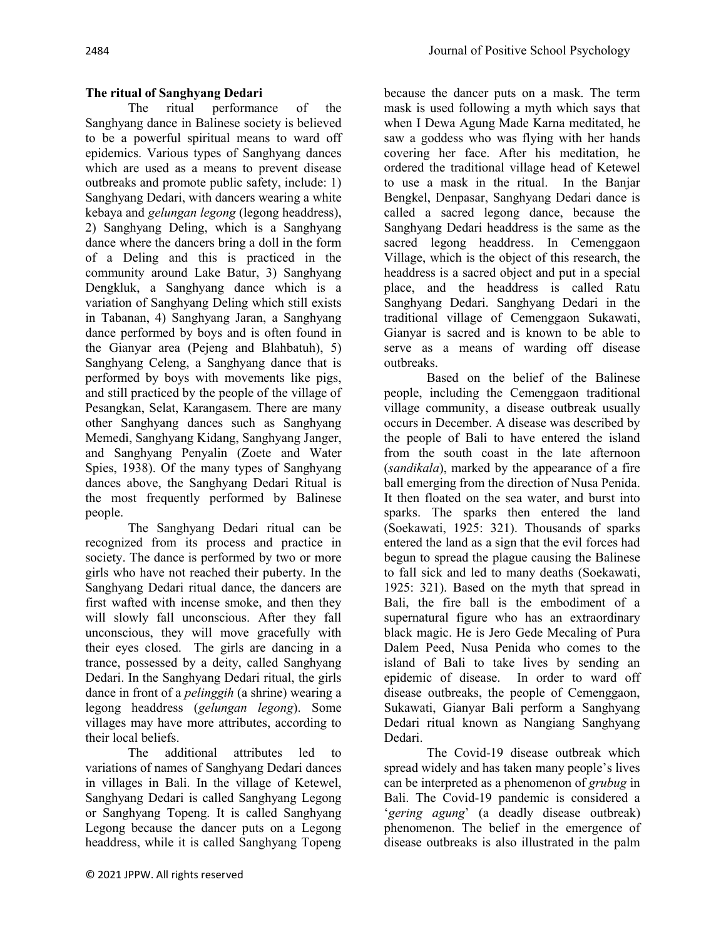# **The ritual of Sanghyang Dedari**

The ritual performance of the Sanghyang dance in Balinese society is believed to be a powerful spiritual means to ward off epidemics. Various types of Sanghyang dances which are used as a means to prevent disease outbreaks and promote public safety, include: 1) Sanghyang Dedari, with dancers wearing a white kebaya and *gelungan legong* (legong headdress), 2) Sanghyang Deling, which is a Sanghyang dance where the dancers bring a doll in the form of a Deling and this is practiced in the community around Lake Batur, 3) Sanghyang Dengkluk, a Sanghyang dance which is a variation of Sanghyang Deling which still exists in Tabanan, 4) Sanghyang Jaran, a Sanghyang dance performed by boys and is often found in the Gianyar area (Pejeng and Blahbatuh), 5) Sanghyang Celeng, a Sanghyang dance that is performed by boys with movements like pigs, and still practiced by the people of the village of Pesangkan, Selat, Karangasem. There are many other Sanghyang dances such as Sanghyang Memedi, Sanghyang Kidang, Sanghyang Janger, and Sanghyang Penyalin (Zoete and Water Spies, 1938). Of the many types of Sanghyang dances above, the Sanghyang Dedari Ritual is the most frequently performed by Balinese people.

The Sanghyang Dedari ritual can be recognized from its process and practice in society. The dance is performed by two or more girls who have not reached their puberty. In the Sanghyang Dedari ritual dance, the dancers are first wafted with incense smoke, and then they will slowly fall unconscious. After they fall unconscious, they will move gracefully with their eyes closed. The girls are dancing in a trance, possessed by a deity, called Sanghyang Dedari. In the Sanghyang Dedari ritual, the girls dance in front of a *pelinggih* (a shrine) wearing a legong headdress (*gelungan legong*). Some villages may have more attributes, according to their local beliefs.

The additional attributes led to variations of names of Sanghyang Dedari dances in villages in Bali. In the village of Ketewel, Sanghyang Dedari is called Sanghyang Legong or Sanghyang Topeng. It is called Sanghyang Legong because the dancer puts on a Legong headdress, while it is called Sanghyang Topeng

because the dancer puts on a mask. The term mask is used following a myth which says that when I Dewa Agung Made Karna meditated, he saw a goddess who was flying with her hands covering her face. After his meditation, he ordered the traditional village head of Ketewel to use a mask in the ritual. In the Banjar Bengkel, Denpasar, Sanghyang Dedari dance is called a sacred legong dance, because the Sanghyang Dedari headdress is the same as the sacred legong headdress. In Cemenggaon Village, which is the object of this research, the headdress is a sacred object and put in a special place, and the headdress is called Ratu Sanghyang Dedari. Sanghyang Dedari in the traditional village of Cemenggaon Sukawati, Gianyar is sacred and is known to be able to serve as a means of warding off disease outbreaks.

Based on the belief of the Balinese people, including the Cemenggaon traditional village community, a disease outbreak usually occurs in December. A disease was described by the people of Bali to have entered the island from the south coast in the late afternoon (*sandikala*), marked by the appearance of a fire ball emerging from the direction of Nusa Penida. It then floated on the sea water, and burst into sparks. The sparks then entered the land (Soekawati, 1925: 321). Thousands of sparks entered the land as a sign that the evil forces had begun to spread the plague causing the Balinese to fall sick and led to many deaths (Soekawati, 1925: 321). Based on the myth that spread in Bali, the fire ball is the embodiment of a supernatural figure who has an extraordinary black magic. He is Jero Gede Mecaling of Pura Dalem Peed, Nusa Penida who comes to the island of Bali to take lives by sending an epidemic of disease. In order to ward off disease outbreaks, the people of Cemenggaon, Sukawati, Gianyar Bali perform a Sanghyang Dedari ritual known as Nangiang Sanghyang Dedari.

The Covid-19 disease outbreak which spread widely and has taken many people's lives can be interpreted as a phenomenon of *grubug* in Bali. The Covid-19 pandemic is considered a '*gering agung*' (a deadly disease outbreak) phenomenon. The belief in the emergence of disease outbreaks is also illustrated in the palm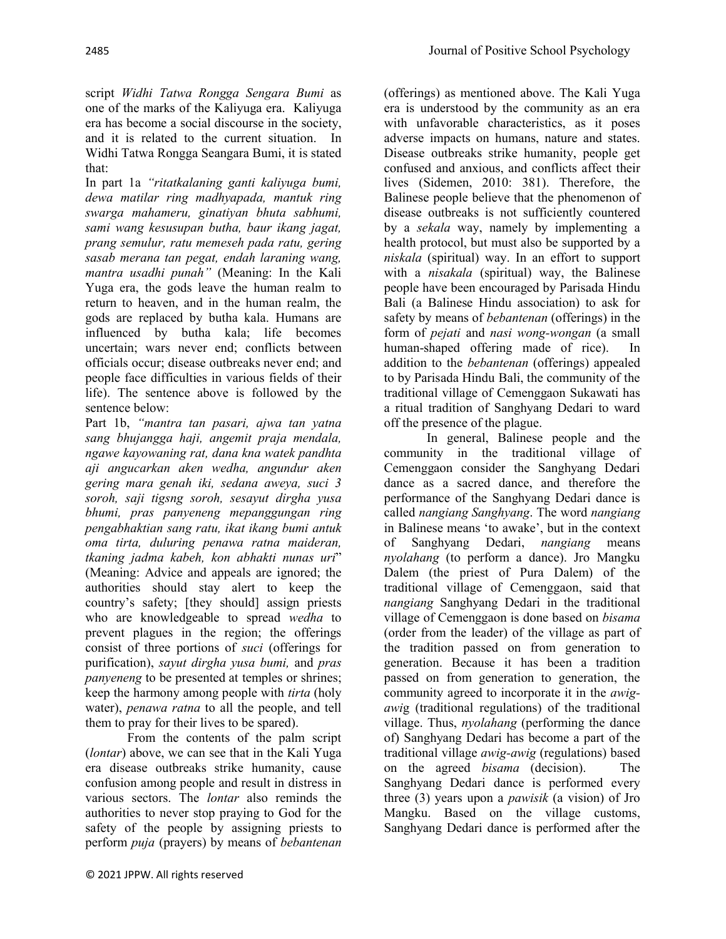script *Widhi Tatwa Rongga Sengara Bumi* as one of the marks of the Kaliyuga era. Kaliyuga era has become a social discourse in the society, and it is related to the current situation. In Widhi Tatwa Rongga Seangara Bumi, it is stated that:

In part 1a *"ritatkalaning ganti kaliyuga bumi, dewa matilar ring madhyapada, mantuk ring swarga mahameru, ginatiyan bhuta sabhumi, sami wang kesusupan butha, baur ikang jagat, prang semulur, ratu memeseh pada ratu, gering sasab merana tan pegat, endah laraning wang, mantra usadhi punah"* (Meaning: In the Kali Yuga era, the gods leave the human realm to return to heaven, and in the human realm, the gods are replaced by butha kala. Humans are influenced by butha kala; life becomes uncertain; wars never end; conflicts between officials occur; disease outbreaks never end; and people face difficulties in various fields of their life). The sentence above is followed by the sentence below:

Part 1b, *"mantra tan pasari, ajwa tan yatna sang bhujangga haji, angemit praja mendala, ngawe kayowaning rat, dana kna watek pandhta aji angucarkan aken wedha, angundur aken gering mara genah iki, sedana aweya, suci 3 soroh, saji tigsng soroh, sesayut dirgha yusa bhumi, pras panyeneng mepanggungan ring pengabhaktian sang ratu, ikat ikang bumi antuk oma tirta, duluring penawa ratna maideran, tkaning jadma kabeh, kon abhakti nunas uri*" (Meaning: Advice and appeals are ignored; the authorities should stay alert to keep the country's safety; [they should] assign priests who are knowledgeable to spread *wedha* to prevent plagues in the region; the offerings consist of three portions of *suci* (offerings for purification), *sayut dirgha yusa bumi,* and *pras panyeneng* to be presented at temples or shrines; keep the harmony among people with *tirta* (holy water), *penawa ratna* to all the people, and tell them to pray for their lives to be spared).

From the contents of the palm script (*lontar*) above, we can see that in the Kali Yuga era disease outbreaks strike humanity, cause confusion among people and result in distress in various sectors. The *lontar* also reminds the authorities to never stop praying to God for the safety of the people by assigning priests to perform *puja* (prayers) by means of *bebantenan*

(offerings) as mentioned above. The Kali Yuga era is understood by the community as an era with unfavorable characteristics, as it poses adverse impacts on humans, nature and states. Disease outbreaks strike humanity, people get confused and anxious, and conflicts affect their lives (Sidemen, 2010: 381). Therefore, the Balinese people believe that the phenomenon of disease outbreaks is not sufficiently countered by a *sekala* way, namely by implementing a health protocol, but must also be supported by a *niskala* (spiritual) way. In an effort to support with a *nisakala* (spiritual) way, the Balinese people have been encouraged by Parisada Hindu Bali (a Balinese Hindu association) to ask for safety by means of *bebantenan* (offerings) in the form of *pejati* and *nasi wong-wongan* (a small human-shaped offering made of rice). In addition to the *bebantenan* (offerings) appealed to by Parisada Hindu Bali, the community of the traditional village of Cemenggaon Sukawati has a ritual tradition of Sanghyang Dedari to ward off the presence of the plague.

In general, Balinese people and the community in the traditional village of Cemenggaon consider the Sanghyang Dedari dance as a sacred dance, and therefore the performance of the Sanghyang Dedari dance is called *nangiang Sanghyang*. The word *nangiang* in Balinese means 'to awake', but in the context of Sanghyang Dedari, *nangiang* means *nyolahang* (to perform a dance). Jro Mangku Dalem (the priest of Pura Dalem) of the traditional village of Cemenggaon, said that *nangiang* Sanghyang Dedari in the traditional village of Cemenggaon is done based on *bisama* (order from the leader) of the village as part of the tradition passed on from generation to generation. Because it has been a tradition passed on from generation to generation, the community agreed to incorporate it in the *awigawi*g (traditional regulations) of the traditional village. Thus, *nyolahang* (performing the dance of) Sanghyang Dedari has become a part of the traditional village *awig-awig* (regulations) based on the agreed *bisama* (decision). The Sanghyang Dedari dance is performed every three (3) years upon a *pawisik* (a vision) of Jro Mangku. Based on the village customs, Sanghyang Dedari dance is performed after the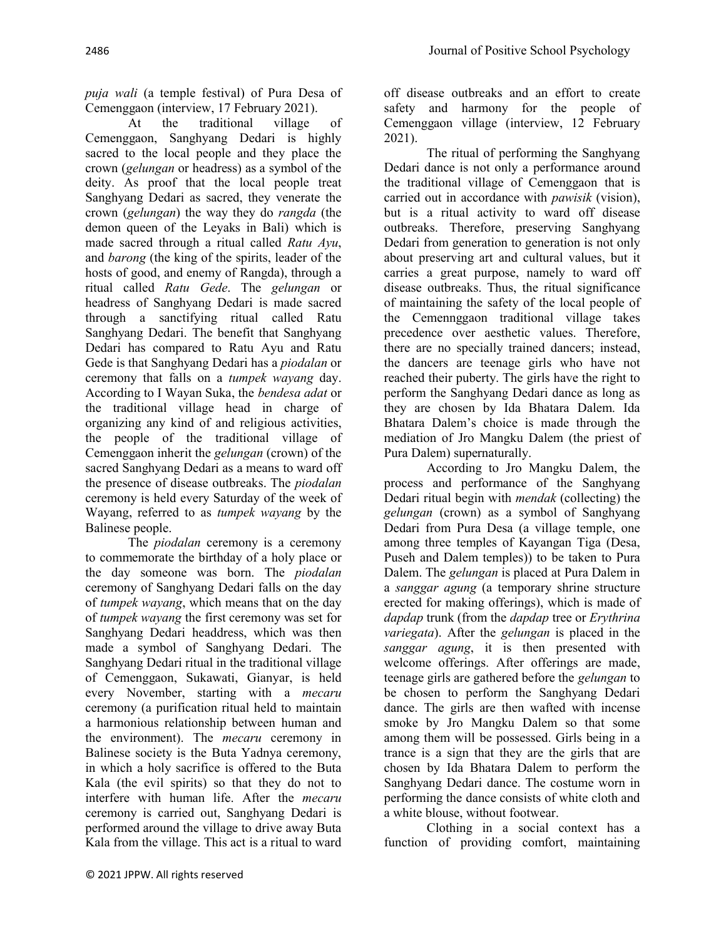*puja wali* (a temple festival) of Pura Desa of Cemenggaon (interview, 17 February 2021).

At the traditional village of Cemenggaon, Sanghyang Dedari is highly sacred to the local people and they place the crown (*gelungan* or headress) as a symbol of the deity. As proof that the local people treat Sanghyang Dedari as sacred, they venerate the crown (*gelungan*) the way they do *rangda* (the demon queen of the Leyaks in Bali) which is made sacred through a ritual called *Ratu Ayu*, and *barong* (the king of the spirits, leader of the hosts of good, and enemy of Rangda), through a ritual called *Ratu Gede*. The *gelungan* or headress of Sanghyang Dedari is made sacred through a sanctifying ritual called Ratu Sanghyang Dedari. The benefit that Sanghyang Dedari has compared to Ratu Ayu and Ratu Gede is that Sanghyang Dedari has a *piodalan* or ceremony that falls on a *tumpek wayang* day. According to I Wayan Suka, the *bendesa adat* or the traditional village head in charge of organizing any kind of and religious activities, the people of the traditional village of Cemenggaon inherit the *gelungan* (crown) of the sacred Sanghyang Dedari as a means to ward off the presence of disease outbreaks. The *piodalan* ceremony is held every Saturday of the week of Wayang, referred to as *tumpek wayang* by the Balinese people.

The *piodalan* ceremony is a ceremony to commemorate the birthday of a holy place or the day someone was born. The *piodalan* ceremony of Sanghyang Dedari falls on the day of *tumpek wayang*, which means that on the day of *tumpek wayang* the first ceremony was set for Sanghyang Dedari headdress, which was then made a symbol of Sanghyang Dedari. The Sanghyang Dedari ritual in the traditional village of Cemenggaon, Sukawati, Gianyar, is held every November, starting with a *mecaru*  ceremony (a purification ritual held to maintain a harmonious relationship between human and the environment). The *mecaru* ceremony in Balinese society is the Buta Yadnya ceremony, in which a holy sacrifice is offered to the Buta Kala (the evil spirits) so that they do not to interfere with human life. After the *mecaru* ceremony is carried out, Sanghyang Dedari is performed around the village to drive away Buta Kala from the village. This act is a ritual to ward

off disease outbreaks and an effort to create safety and harmony for the people of Cemenggaon village (interview, 12 February 2021).

The ritual of performing the Sanghyang Dedari dance is not only a performance around the traditional village of Cemenggaon that is carried out in accordance with *pawisik* (vision), but is a ritual activity to ward off disease outbreaks. Therefore, preserving Sanghyang Dedari from generation to generation is not only about preserving art and cultural values, but it carries a great purpose, namely to ward off disease outbreaks. Thus, the ritual significance of maintaining the safety of the local people of the Cemennggaon traditional village takes precedence over aesthetic values. Therefore, there are no specially trained dancers; instead, the dancers are teenage girls who have not reached their puberty. The girls have the right to perform the Sanghyang Dedari dance as long as they are chosen by Ida Bhatara Dalem. Ida Bhatara Dalem's choice is made through the mediation of Jro Mangku Dalem (the priest of Pura Dalem) supernaturally.

According to Jro Mangku Dalem, the process and performance of the Sanghyang Dedari ritual begin with *mendak* (collecting) the *gelungan* (crown) as a symbol of Sanghyang Dedari from Pura Desa (a village temple, one among three temples of Kayangan Tiga (Desa, Puseh and Dalem temples)) to be taken to Pura Dalem. The *gelungan* is placed at Pura Dalem in a *sanggar agung* (a temporary shrine structure erected for making offerings), which is made of *dapdap* trunk (from the *dapdap* tree or *Erythrina variegata*). After the *gelungan* is placed in the *sanggar agung*, it is then presented with welcome offerings. After offerings are made, teenage girls are gathered before the *gelungan* to be chosen to perform the Sanghyang Dedari dance. The girls are then wafted with incense smoke by Jro Mangku Dalem so that some among them will be possessed. Girls being in a trance is a sign that they are the girls that are chosen by Ida Bhatara Dalem to perform the Sanghyang Dedari dance. The costume worn in performing the dance consists of white cloth and a white blouse, without footwear.

Clothing in a social context has a function of providing comfort, maintaining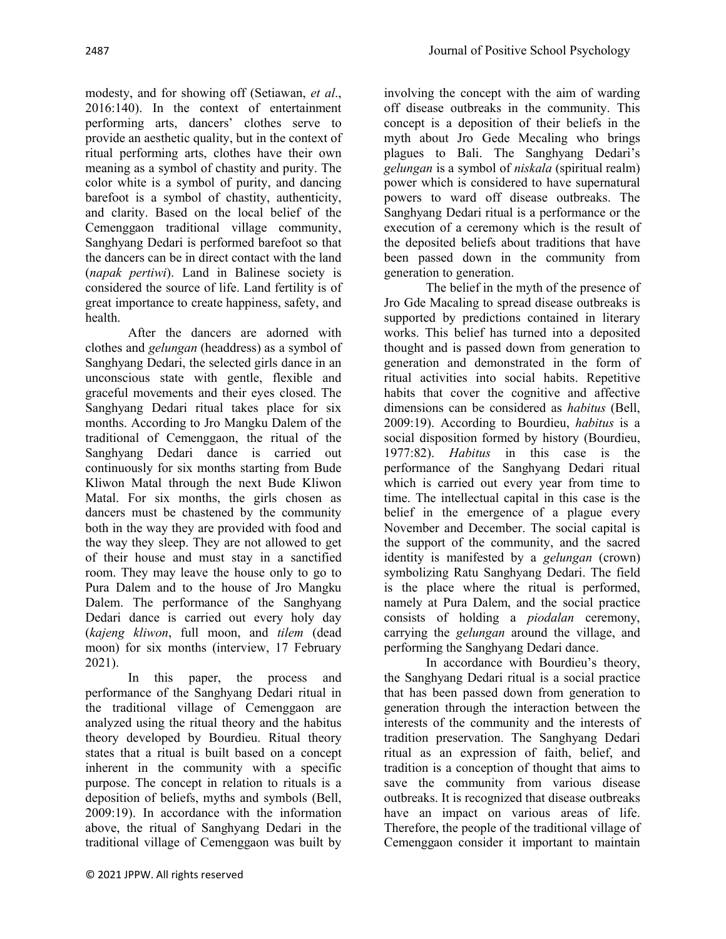modesty, and for showing off (Setiawan, *et al*., 2016:140). In the context of entertainment performing arts, dancers' clothes serve to provide an aesthetic quality, but in the context of ritual performing arts, clothes have their own meaning as a symbol of chastity and purity. The color white is a symbol of purity, and dancing barefoot is a symbol of chastity, authenticity, and clarity. Based on the local belief of the Cemenggaon traditional village community, Sanghyang Dedari is performed barefoot so that the dancers can be in direct contact with the land (*napak pertiwi*). Land in Balinese society is considered the source of life. Land fertility is of great importance to create happiness, safety, and health.

After the dancers are adorned with clothes and *gelungan* (headdress) as a symbol of Sanghyang Dedari, the selected girls dance in an unconscious state with gentle, flexible and graceful movements and their eyes closed. The Sanghyang Dedari ritual takes place for six months. According to Jro Mangku Dalem of the traditional of Cemenggaon, the ritual of the Sanghyang Dedari dance is carried out continuously for six months starting from Bude Kliwon Matal through the next Bude Kliwon Matal. For six months, the girls chosen as dancers must be chastened by the community both in the way they are provided with food and the way they sleep. They are not allowed to get of their house and must stay in a sanctified room. They may leave the house only to go to Pura Dalem and to the house of Jro Mangku Dalem. The performance of the Sanghyang Dedari dance is carried out every holy day (*kajeng kliwon*, full moon, and *tilem* (dead moon) for six months (interview, 17 February 2021).

In this paper, the process and performance of the Sanghyang Dedari ritual in the traditional village of Cemenggaon are analyzed using the ritual theory and the habitus theory developed by Bourdieu. Ritual theory states that a ritual is built based on a concept inherent in the community with a specific purpose. The concept in relation to rituals is a deposition of beliefs, myths and symbols (Bell, 2009:19). In accordance with the information above, the ritual of Sanghyang Dedari in the traditional village of Cemenggaon was built by

involving the concept with the aim of warding off disease outbreaks in the community. This concept is a deposition of their beliefs in the myth about Jro Gede Mecaling who brings plagues to Bali. The Sanghyang Dedari's *gelungan* is a symbol of *niskala* (spiritual realm) power which is considered to have supernatural powers to ward off disease outbreaks. The Sanghyang Dedari ritual is a performance or the execution of a ceremony which is the result of the deposited beliefs about traditions that have been passed down in the community from generation to generation.

The belief in the myth of the presence of Jro Gde Macaling to spread disease outbreaks is supported by predictions contained in literary works. This belief has turned into a deposited thought and is passed down from generation to generation and demonstrated in the form of ritual activities into social habits. Repetitive habits that cover the cognitive and affective dimensions can be considered as *habitus* (Bell, 2009:19). According to Bourdieu, *habitus* is a social disposition formed by history (Bourdieu, 1977:82). *Habitus* in this case is the performance of the Sanghyang Dedari ritual which is carried out every year from time to time. The intellectual capital in this case is the belief in the emergence of a plague every November and December. The social capital is the support of the community, and the sacred identity is manifested by a *gelungan* (crown) symbolizing Ratu Sanghyang Dedari. The field is the place where the ritual is performed, namely at Pura Dalem, and the social practice consists of holding a *piodalan* ceremony, carrying the *gelungan* around the village, and performing the Sanghyang Dedari dance.

In accordance with Bourdieu's theory, the Sanghyang Dedari ritual is a social practice that has been passed down from generation to generation through the interaction between the interests of the community and the interests of tradition preservation. The Sanghyang Dedari ritual as an expression of faith, belief, and tradition is a conception of thought that aims to save the community from various disease outbreaks. It is recognized that disease outbreaks have an impact on various areas of life. Therefore, the people of the traditional village of Cemenggaon consider it important to maintain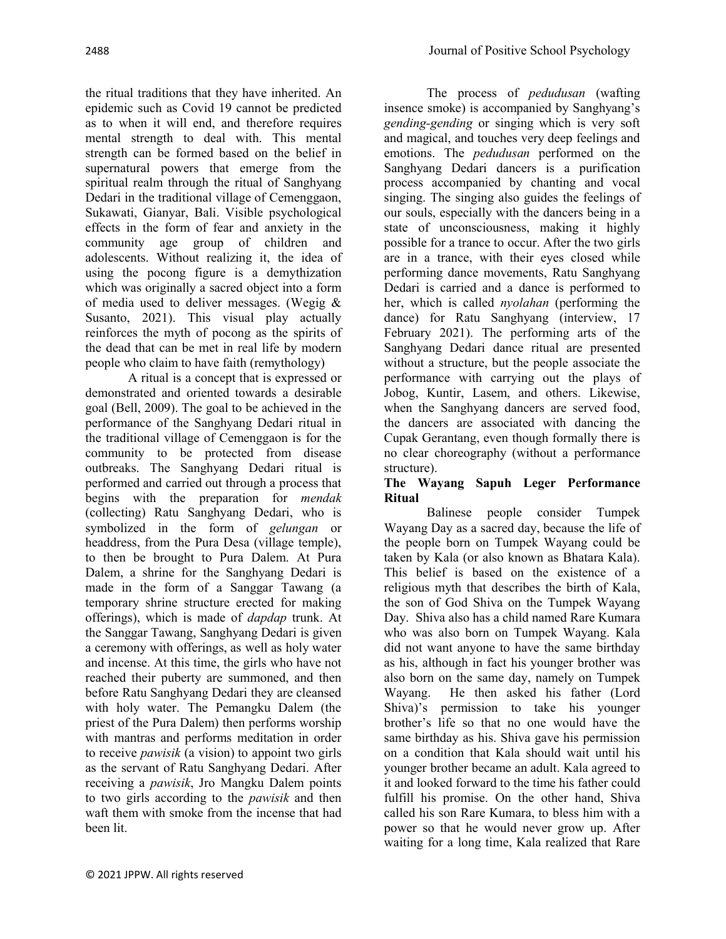The process of *pedudusan* (wafting

the ritual traditions that they have inherited. An epidemic such as Covid 19 cannot be predicted as to when it will end, and therefore requires mental strength to deal with. This mental strength can be formed based on the belief in supernatural powers that emerge from the spiritual realm through the ritual of Sanghyang Dedari in the traditional village of Cemenggaon, Sukawati, Gianyar, Bali. Visible psychological effects in the form of fear and anxiety in the community age group of children and adolescents. Without realizing it, the idea of using the pocong figure is a demythization which was originally a sacred object into a form of media used to deliver messages. (Wegig & Susanto, 2021). This visual play actually reinforces the myth of pocong as the spirits of the dead that can be met in real life by modern people who claim to have faith (remythology)

A ritual is a concept that is expressed or demonstrated and oriented towards a desirable goal (Bell, 2009). The goal to be achieved in the performance of the Sanghyang Dedari ritual in the traditional village of Cemenggaon is for the community to be protected from disease outbreaks. The Sanghyang Dedari ritual is performed and carried out through a process that begins with the preparation for *mendak* (collecting) Ratu Sanghyang Dedari, who is symbolized in the form of *gelungan* or headdress, from the Pura Desa (village temple), to then be brought to Pura Dalem. At Pura Dalem, a shrine for the Sanghyang Dedari is made in the form of a Sanggar Tawang (a temporary shrine structure erected for making offerings), which is made of *dapdap* trunk. At the Sanggar Tawang, Sanghyang Dedari is given a ceremony with offerings, as well as holy water and incense. At this time, the girls who have not reached their puberty are summoned, and then before Ratu Sanghyang Dedari they are cleansed with holy water. The Pemangku Dalem (the priest of the Pura Dalem) then performs worship with mantras and performs meditation in order to receive *pawisik* (a vision) to appoint two girls as the servant of Ratu Sanghyang Dedari. After receiving a *pawisik*, Jro Mangku Dalem points to two girls according to the *pawisik* and then waft them with smoke from the incense that had been lit.

insence smoke) is accompanied by Sanghyang's *gending-gending* or singing which is very soft and magical, and touches very deep feelings and emotions. The *pedudusan* performed on the Sanghyang Dedari dancers is a purification process accompanied by chanting and vocal singing. The singing also guides the feelings of our souls, especially with the dancers being in a state of unconsciousness, making it highly possible for a trance to occur. After the two girls are in a trance, with their eyes closed while performing dance movements, Ratu Sanghyang Dedari is carried and a dance is performed to her, which is called *nyolahan* (performing the dance) for Ratu Sanghyang (interview, 17 February 2021). The performing arts of the Sanghyang Dedari dance ritual are presented without a structure, but the people associate the performance with carrying out the plays of Jobog, Kuntir, Lasem, and others. Likewise, when the Sanghyang dancers are served food, the dancers are associated with dancing the Cupak Gerantang, even though formally there is no clear choreography (without a performance structure).

## **The Wayang Sapuh Leger Performance Ritual**

Balinese people consider Tumpek Wayang Day as a sacred day, because the life of the people born on Tumpek Wayang could be taken by Kala (or also known as Bhatara Kala). This belief is based on the existence of a religious myth that describes the birth of Kala, the son of God Shiva on the Tumpek Wayang Day. Shiva also has a child named Rare Kumara who was also born on Tumpek Wayang. Kala did not want anyone to have the same birthday as his, although in fact his younger brother was also born on the same day, namely on Tumpek Wayang. He then asked his father (Lord Shiva)'s permission to take his younger brother's life so that no one would have the same birthday as his. Shiva gave his permission on a condition that Kala should wait until his younger brother became an adult. Kala agreed to it and looked forward to the time his father could fulfill his promise. On the other hand, Shiva called his son Rare Kumara, to bless him with a power so that he would never grow up. After waiting for a long time, Kala realized that Rare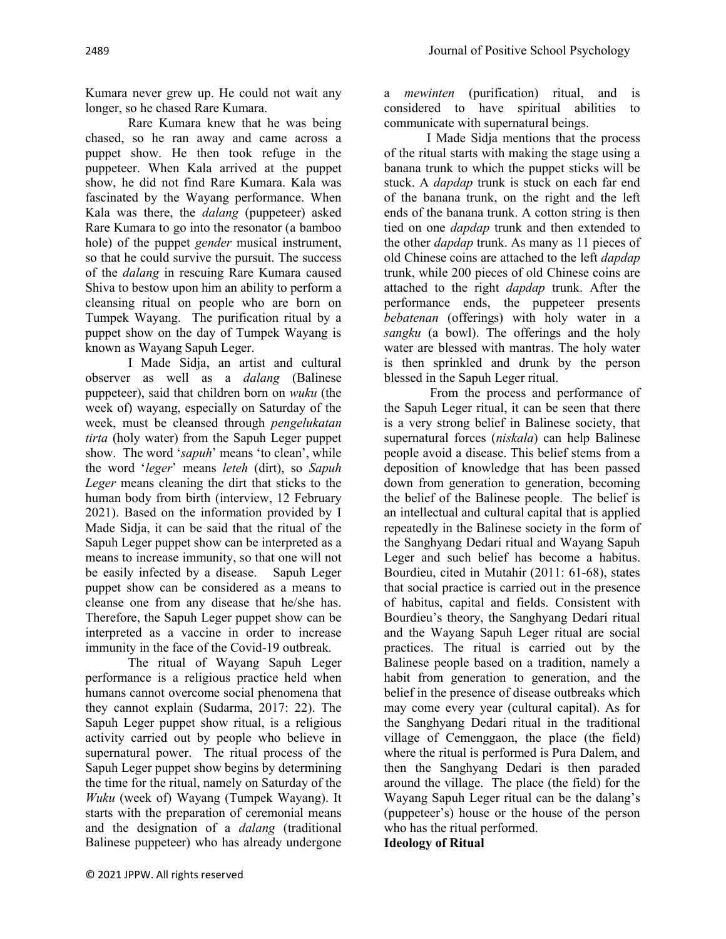Kumara never grew up. He could not wait any longer, so he chased Rare Kumara.

Rare Kumara knew that he was being chased, so he ran away and came across a puppet show. He then took refuge in the puppeteer. When Kala arrived at the puppet show, he did not find Rare Kumara. Kala was fascinated by the Wayang performance. When Kala was there, the *dalang* (puppeteer) asked Rare Kumara to go into the resonator (a bamboo hole) of the puppet *gender* musical instrument, so that he could survive the pursuit. The success of the *dalang* in rescuing Rare Kumara caused Shiva to bestow upon him an ability to perform a cleansing ritual on people who are born on Tumpek Wayang. The purification ritual by a puppet show on the day of Tumpek Wayang is known as Wayang Sapuh Leger.

I Made Sidja, an artist and cultural observer as well as a *dalang* (Balinese puppeteer), said that children born on *wuku* (the week of) wayang, especially on Saturday of the week, must be cleansed through *pengelukatan tirta* (holy water) from the Sapuh Leger puppet show. The word '*sapuh*' means 'to clean', while the word '*leger*' means *leteh* (dirt), so *Sapuh Leger* means cleaning the dirt that sticks to the human body from birth (interview, 12 February 2021). Based on the information provided by I Made Sidja, it can be said that the ritual of the Sapuh Leger puppet show can be interpreted as a means to increase immunity, so that one will not be easily infected by a disease. Sapuh Leger puppet show can be considered as a means to cleanse one from any disease that he/she has. Therefore, the Sapuh Leger puppet show can be interpreted as a vaccine in order to increase immunity in the face of the Covid-19 outbreak.

The ritual of Wayang Sapuh Leger performance is a religious practice held when humans cannot overcome social phenomena that they cannot explain (Sudarma, 2017: 22). The Sapuh Leger puppet show ritual, is a religious activity carried out by people who believe in supernatural power. The ritual process of the Sapuh Leger puppet show begins by determining the time for the ritual, namely on Saturday of the *Wuku* (week of) Wayang (Tumpek Wayang). It starts with the preparation of ceremonial means and the designation of a *dalang* (traditional Balinese puppeteer) who has already undergone

a *mewinten* (purification) ritual, and is considered to have spiritual abilities to communicate with supernatural beings.

I Made Sidja mentions that the process of the ritual starts with making the stage using a banana trunk to which the puppet sticks will be stuck. A *dapdap* trunk is stuck on each far end of the banana trunk, on the right and the left ends of the banana trunk. A cotton string is then tied on one *dapdap* trunk and then extended to the other *dapdap* trunk. As many as 11 pieces of old Chinese coins are attached to the left *dapdap* trunk, while 200 pieces of old Chinese coins are attached to the right *dapdap* trunk. After the performance ends, the puppeteer presents *bebatenan* (offerings) with holy water in a *sangku* (a bowl). The offerings and the holy water are blessed with mantras. The holy water is then sprinkled and drunk by the person blessed in the Sapuh Leger ritual.

From the process and performance of the Sapuh Leger ritual, it can be seen that there is a very strong belief in Balinese society, that supernatural forces (*niskala*) can help Balinese people avoid a disease. This belief stems from a deposition of knowledge that has been passed down from generation to generation, becoming the belief of the Balinese people. The belief is an intellectual and cultural capital that is applied repeatedly in the Balinese society in the form of the Sanghyang Dedari ritual and Wayang Sapuh Leger and such belief has become a habitus. Bourdieu, cited in Mutahir (2011: 61-68), states that social practice is carried out in the presence of habitus, capital and fields. Consistent with Bourdieu's theory, the Sanghyang Dedari ritual and the Wayang Sapuh Leger ritual are social practices. The ritual is carried out by the Balinese people based on a tradition, namely a habit from generation to generation, and the belief in the presence of disease outbreaks which may come every year (cultural capital). As for the Sanghyang Dedari ritual in the traditional village of Cemenggaon, the place (the field) where the ritual is performed is Pura Dalem, and then the Sanghyang Dedari is then paraded around the village. The place (the field) for the Wayang Sapuh Leger ritual can be the dalang's (puppeteer's) house or the house of the person who has the ritual performed.

**Ideology of Ritual**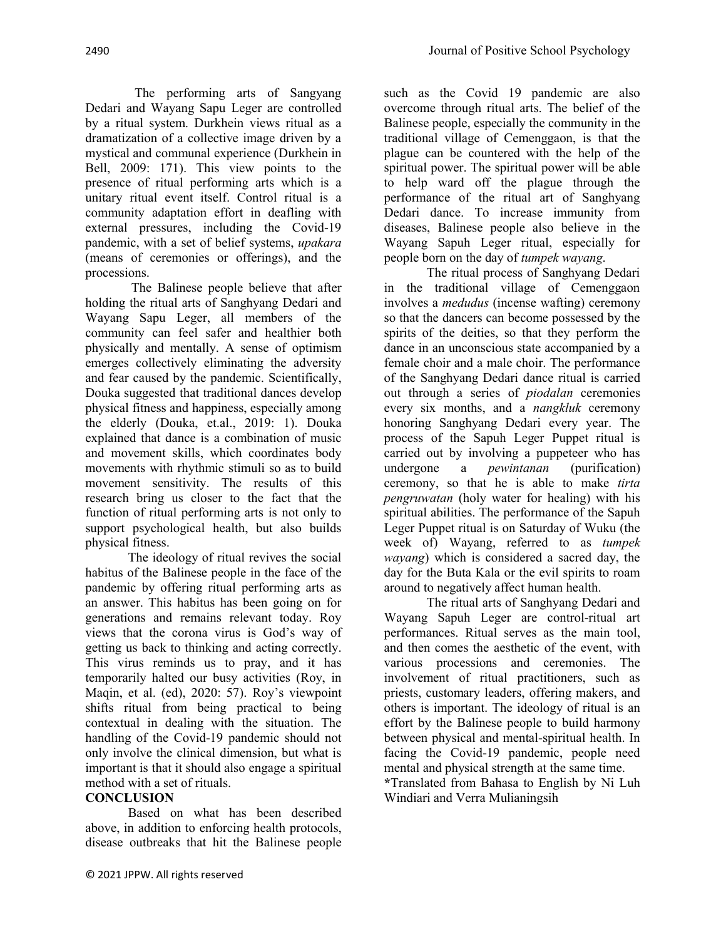The performing arts of Sangyang Dedari and Wayang Sapu Leger are controlled by a ritual system. Durkhein views ritual as a dramatization of a collective image driven by a mystical and communal experience (Durkhein in Bell, 2009: 171). This view points to the presence of ritual performing arts which is a unitary ritual event itself. Control ritual is a community adaptation effort in deafling with external pressures, including the Covid-19 pandemic, with a set of belief systems, *upakara* (means of ceremonies or offerings), and the processions.

The Balinese people believe that after holding the ritual arts of Sanghyang Dedari and Wayang Sapu Leger, all members of the community can feel safer and healthier both physically and mentally. A sense of optimism emerges collectively eliminating the adversity and fear caused by the pandemic. Scientifically, Douka suggested that traditional dances develop physical fitness and happiness, especially among the elderly (Douka, et.al., 2019: 1). Douka explained that dance is a combination of music and movement skills, which coordinates body movements with rhythmic stimuli so as to build movement sensitivity. The results of this research bring us closer to the fact that the function of ritual performing arts is not only to support psychological health, but also builds physical fitness.

The ideology of ritual revives the social habitus of the Balinese people in the face of the pandemic by offering ritual performing arts as an answer. This habitus has been going on for generations and remains relevant today. Roy views that the corona virus is God's way of getting us back to thinking and acting correctly. This virus reminds us to pray, and it has temporarily halted our busy activities (Roy, in Maqin, et al. (ed), 2020: 57). Roy's viewpoint shifts ritual from being practical to being contextual in dealing with the situation. The handling of the Covid-19 pandemic should not only involve the clinical dimension, but what is important is that it should also engage a spiritual method with a set of rituals.

## **CONCLUSION**

Based on what has been described above, in addition to enforcing health protocols, disease outbreaks that hit the Balinese people

such as the Covid 19 pandemic are also overcome through ritual arts. The belief of the Balinese people, especially the community in the traditional village of Cemenggaon, is that the plague can be countered with the help of the spiritual power. The spiritual power will be able to help ward off the plague through the performance of the ritual art of Sanghyang Dedari dance. To increase immunity from diseases, Balinese people also believe in the Wayang Sapuh Leger ritual, especially for people born on the day of *tumpek wayang*.

The ritual process of Sanghyang Dedari in the traditional village of Cemenggaon involves a *medudus* (incense wafting) ceremony so that the dancers can become possessed by the spirits of the deities, so that they perform the dance in an unconscious state accompanied by a female choir and a male choir. The performance of the Sanghyang Dedari dance ritual is carried out through a series of *piodalan* ceremonies every six months, and a *nangkluk* ceremony honoring Sanghyang Dedari every year. The process of the Sapuh Leger Puppet ritual is carried out by involving a puppeteer who has undergone a *pewintanan* (purification) ceremony, so that he is able to make *tirta pengruwatan* (holy water for healing) with his spiritual abilities. The performance of the Sapuh Leger Puppet ritual is on Saturday of Wuku (the week of) Wayang, referred to as *tumpek wayang*) which is considered a sacred day, the day for the Buta Kala or the evil spirits to roam around to negatively affect human health.

The ritual arts of Sanghyang Dedari and Wayang Sapuh Leger are control-ritual art performances. Ritual serves as the main tool, and then comes the aesthetic of the event, with various processions and ceremonies. The involvement of ritual practitioners, such as priests, customary leaders, offering makers, and others is important. The ideology of ritual is an effort by the Balinese people to build harmony between physical and mental-spiritual health. In facing the Covid-19 pandemic, people need mental and physical strength at the same time.

**\***Translated from Bahasa to English by Ni Luh Windiari and Verra Mulianingsih